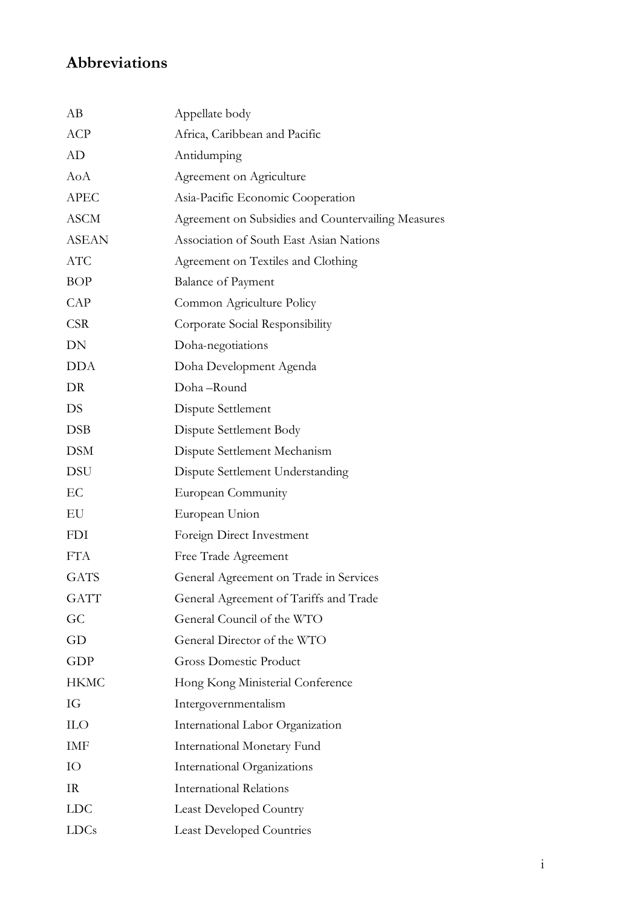## **Abbreviations**

| AB           | Appellate body                                     |
|--------------|----------------------------------------------------|
| <b>ACP</b>   | Africa, Caribbean and Pacific                      |
| AD           | Antidumping                                        |
| AoA          | Agreement on Agriculture                           |
| <b>APEC</b>  | Asia-Pacific Economic Cooperation                  |
| <b>ASCM</b>  | Agreement on Subsidies and Countervailing Measures |
| <b>ASEAN</b> | Association of South East Asian Nations            |
| <b>ATC</b>   | Agreement on Textiles and Clothing                 |
| <b>BOP</b>   | <b>Balance of Payment</b>                          |
| CAP          | Common Agriculture Policy                          |
| <b>CSR</b>   | Corporate Social Responsibility                    |
| DN           | Doha-negotiations                                  |
| <b>DDA</b>   | Doha Development Agenda                            |
| DR           | Doha-Round                                         |
| <b>DS</b>    | Dispute Settlement                                 |
| <b>DSB</b>   | Dispute Settlement Body                            |
| <b>DSM</b>   | Dispute Settlement Mechanism                       |
| <b>DSU</b>   | Dispute Settlement Understanding                   |
| EC           | European Community                                 |
| EU           | European Union                                     |
| <b>FDI</b>   | Foreign Direct Investment                          |
| <b>FTA</b>   | Free Trade Agreement                               |
| <b>GATS</b>  | General Agreement on Trade in Services             |
| <b>GATT</b>  | General Agreement of Tariffs and Trade             |
| GC           | General Council of the WTO                         |
| GD           | General Director of the WTO                        |
| <b>GDP</b>   | <b>Gross Domestic Product</b>                      |
| <b>HKMC</b>  | Hong Kong Ministerial Conference                   |
| IG           | Intergovernmentalism                               |
| <b>ILO</b>   | International Labor Organization                   |
| IMF          | International Monetary Fund                        |
| IO           | International Organizations                        |
| IR           | <b>International Relations</b>                     |
| <b>LDC</b>   | <b>Least Developed Country</b>                     |
| LDCs         | <b>Least Developed Countries</b>                   |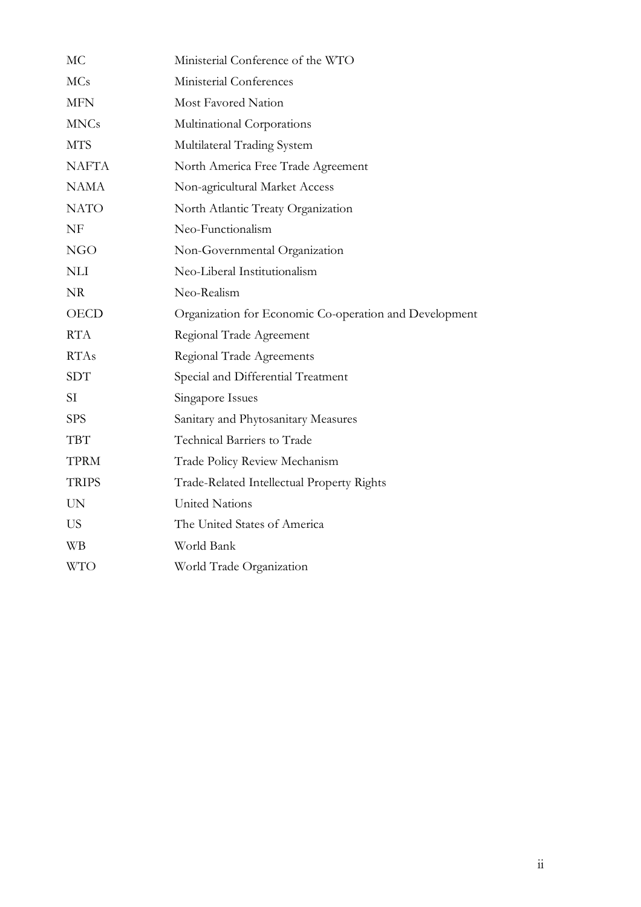| MC           | Ministerial Conference of the WTO                      |
|--------------|--------------------------------------------------------|
| <b>MCs</b>   | Ministerial Conferences                                |
| <b>MFN</b>   | Most Favored Nation                                    |
| <b>MNCs</b>  | Multinational Corporations                             |
| <b>MTS</b>   | Multilateral Trading System                            |
| <b>NAFTA</b> | North America Free Trade Agreement                     |
| <b>NAMA</b>  | Non-agricultural Market Access                         |
| <b>NATO</b>  | North Atlantic Treaty Organization                     |
| NF           | Neo-Functionalism                                      |
| NGO          | Non-Governmental Organization                          |
| <b>NLI</b>   | Neo-Liberal Institutionalism                           |
| <b>NR</b>    | Neo-Realism                                            |
| <b>OECD</b>  | Organization for Economic Co-operation and Development |
| <b>RTA</b>   | Regional Trade Agreement                               |
| <b>RTAs</b>  | Regional Trade Agreements                              |
| <b>SDT</b>   | Special and Differential Treatment                     |
| SI           | Singapore Issues                                       |
| <b>SPS</b>   | Sanitary and Phytosanitary Measures                    |
| <b>TBT</b>   | Technical Barriers to Trade                            |
| <b>TPRM</b>  | Trade Policy Review Mechanism                          |
| <b>TRIPS</b> | Trade-Related Intellectual Property Rights             |
| <b>UN</b>    | <b>United Nations</b>                                  |
| <b>US</b>    | The United States of America                           |
| WB           | World Bank                                             |
| <b>WTO</b>   | World Trade Organization                               |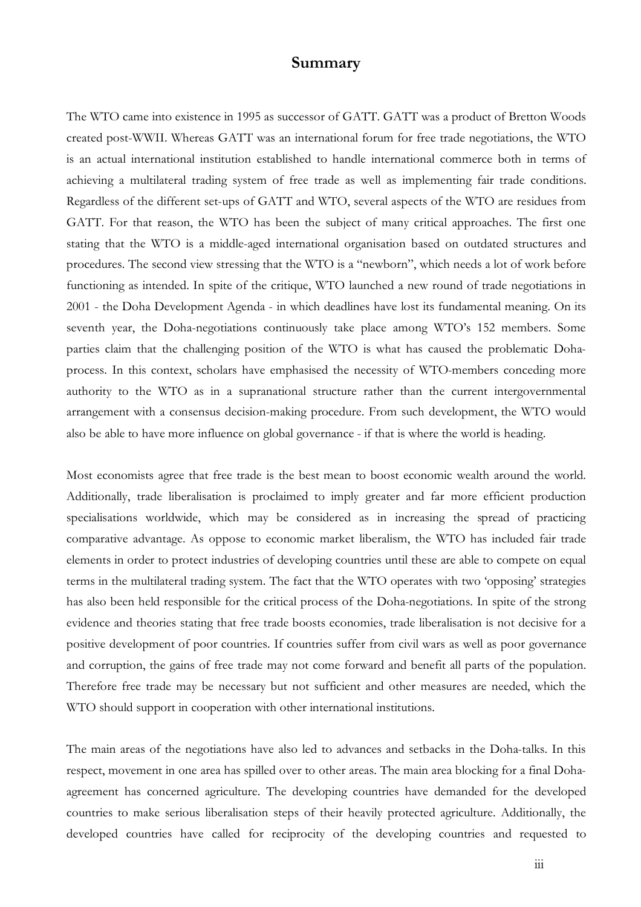## **Summary**

The WTO came into existence in 1995 as successor of GATT. GATT was a product of Bretton Woods created post-WWII. Whereas GATT was an international forum for free trade negotiations, the WTO is an actual international institution established to handle international commerce both in terms of achieving a multilateral trading system of free trade as well as implementing fair trade conditions. Regardless of the different set-ups of GATT and WTO, several aspects of the WTO are residues from GATT. For that reason, the WTO has been the subject of many critical approaches. The first one stating that the WTO is a middle-aged international organisation based on outdated structures and procedures. The second view stressing that the WTO is a "newborn", which needs a lot of work before functioning as intended. In spite of the critique, WTO launched a new round of trade negotiations in 2001 - the Doha Development Agenda - in which deadlines have lost its fundamental meaning. On its seventh year, the Doha-negotiations continuously take place among WTO's 152 members. Some parties claim that the challenging position of the WTO is what has caused the problematic Dohaprocess. In this context, scholars have emphasised the necessity of WTO-members conceding more authority to the WTO as in a supranational structure rather than the current intergovernmental arrangement with a consensus decision-making procedure. From such development, the WTO would also be able to have more influence on global governance - if that is where the world is heading.

Most economists agree that free trade is the best mean to boost economic wealth around the world. Additionally, trade liberalisation is proclaimed to imply greater and far more efficient production specialisations worldwide, which may be considered as in increasing the spread of practicing comparative advantage. As oppose to economic market liberalism, the WTO has included fair trade elements in order to protect industries of developing countries until these are able to compete on equal terms in the multilateral trading system. The fact that the WTO operates with two 'opposing' strategies has also been held responsible for the critical process of the Doha-negotiations. In spite of the strong evidence and theories stating that free trade boosts economies, trade liberalisation is not decisive for a positive development of poor countries. If countries suffer from civil wars as well as poor governance and corruption, the gains of free trade may not come forward and benefit all parts of the population. Therefore free trade may be necessary but not sufficient and other measures are needed, which the WTO should support in cooperation with other international institutions.

The main areas of the negotiations have also led to advances and setbacks in the Doha-talks. In this respect, movement in one area has spilled over to other areas. The main area blocking for a final Dohaagreement has concerned agriculture. The developing countries have demanded for the developed countries to make serious liberalisation steps of their heavily protected agriculture. Additionally, the developed countries have called for reciprocity of the developing countries and requested to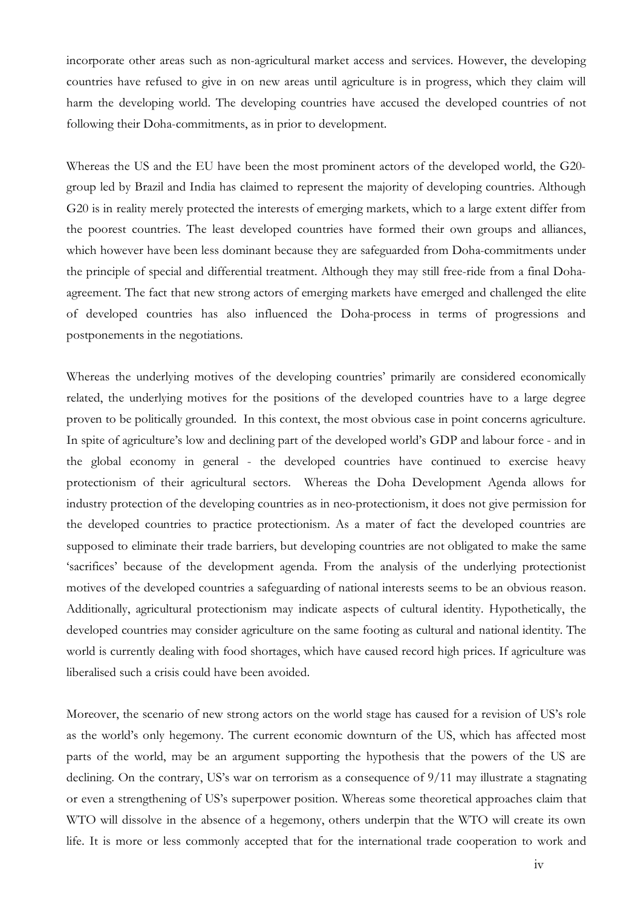incorporate other areas such as non-agricultural market access and services. However, the developing countries have refused to give in on new areas until agriculture is in progress, which they claim will harm the developing world. The developing countries have accused the developed countries of not following their Doha-commitments, as in prior to development.

Whereas the US and the EU have been the most prominent actors of the developed world, the G20 group led by Brazil and India has claimed to represent the majority of developing countries. Although G20 is in reality merely protected the interests of emerging markets, which to a large extent differ from the poorest countries. The least developed countries have formed their own groups and alliances, which however have been less dominant because they are safeguarded from Doha-commitments under the principle of special and differential treatment. Although they may still free-ride from a final Dohaagreement. The fact that new strong actors of emerging markets have emerged and challenged the elite of developed countries has also influenced the Doha-process in terms of progressions and postponements in the negotiations.

Whereas the underlying motives of the developing countries' primarily are considered economically related, the underlying motives for the positions of the developed countries have to a large degree proven to be politically grounded. In this context, the most obvious case in point concerns agriculture. In spite of agriculture's low and declining part of the developed world's GDP and labour force - and in the global economy in general - the developed countries have continued to exercise heavy protectionism of their agricultural sectors. Whereas the Doha Development Agenda allows for industry protection of the developing countries as in neo-protectionism, it does not give permission for the developed countries to practice protectionism. As a mater of fact the developed countries are supposed to eliminate their trade barriers, but developing countries are not obligated to make the same 'sacrifices' because of the development agenda. From the analysis of the underlying protectionist motives of the developed countries a safeguarding of national interests seems to be an obvious reason. Additionally, agricultural protectionism may indicate aspects of cultural identity. Hypothetically, the developed countries may consider agriculture on the same footing as cultural and national identity. The world is currently dealing with food shortages, which have caused record high prices. If agriculture was liberalised such a crisis could have been avoided.

Moreover, the scenario of new strong actors on the world stage has caused for a revision of US's role as the world's only hegemony. The current economic downturn of the US, which has affected most parts of the world, may be an argument supporting the hypothesis that the powers of the US are declining. On the contrary, US's war on terrorism as a consequence of 9/11 may illustrate a stagnating or even a strengthening of US's superpower position. Whereas some theoretical approaches claim that WTO will dissolve in the absence of a hegemony, others underpin that the WTO will create its own life. It is more or less commonly accepted that for the international trade cooperation to work and